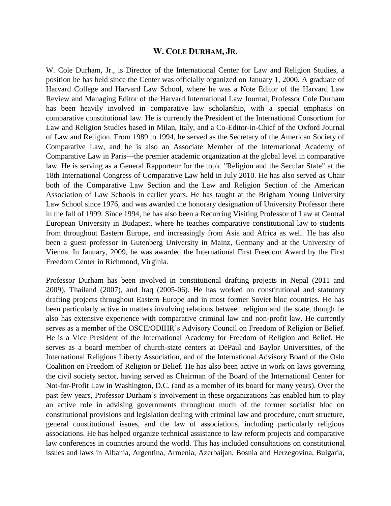## **W. COLE DURHAM, JR.**

W. Cole Durham, Jr., is Director of the International Center for Law and Religion Studies, a position he has held since the Center was officially organized on January 1, 2000. A graduate of Harvard College and Harvard Law School, where he was a Note Editor of the Harvard Law Review and Managing Editor of the Harvard International Law Journal, Professor Cole Durham has been heavily involved in comparative law scholarship, with a special emphasis on comparative constitutional law. He is currently the President of the International Consortium for Law and Religion Studies based in Milan, Italy, and a Co-Editor-in-Chief of the Oxford Journal of Law and Religion. From 1989 to 1994, he served as the Secretary of the American Society of Comparative Law, and he is also an Associate Member of the International Academy of Comparative Law in Paris—the premier academic organization at the global level in comparative law. He is serving as a General Rapporteur for the topic "Religion and the Secular State" at the 18th International Congress of Comparative Law held in July 2010. He has also served as Chair both of the Comparative Law Section and the Law and Religion Section of the American Association of Law Schools in earlier years. He has taught at the Brigham Young University Law School since 1976, and was awarded the honorary designation of University Professor there in the fall of 1999. Since 1994, he has also been a Recurring Visiting Professor of Law at Central European University in Budapest, where he teaches comparative constitutional law to students from throughout Eastern Europe, and increasingly from Asia and Africa as well. He has also been a guest professor in Gutenberg University in Mainz, Germany and at the University of Vienna. In January, 2009, he was awarded the International First Freedom Award by the First Freedom Center in Richmond, Virginia.

Professor Durham has been involved in constitutional drafting projects in Nepal (2011 and 2009), Thailand (2007), and Iraq (2005-06). He has worked on constitutional and statutory drafting projects throughout Eastern Europe and in most former Soviet bloc countries. He has been particularly active in matters involving relations between religion and the state, though he also has extensive experience with comparative criminal law and non-profit law. He currently serves as a member of the OSCE/ODIHR's Advisory Council on Freedom of Religion or Belief. He is a Vice President of the International Academy for Freedom of Religion and Belief. He serves as a board member of church-state centers at DePaul and Baylor Universities, of the International Religious Liberty Association, and of the International Advisory Board of the Oslo Coalition on Freedom of Religion or Belief. He has also been active in work on laws governing the civil society sector, having served as Chairman of the Board of the International Center for Not-for-Profit Law in Washington, D.C. (and as a member of its board for many years). Over the past few years, Professor Durham's involvement in these organizations has enabled him to play an active role in advising governments throughout much of the former socialist bloc on constitutional provisions and legislation dealing with criminal law and procedure, court structure, general constitutional issues, and the law of associations, including particularly religious associations. He has helped organize technical assistance to law reform projects and comparative law conferences in countries around the world. This has included consultations on constitutional issues and laws in Albania, Argentina, Armenia, Azerbaijan, Bosnia and Herzegovina, Bulgaria,